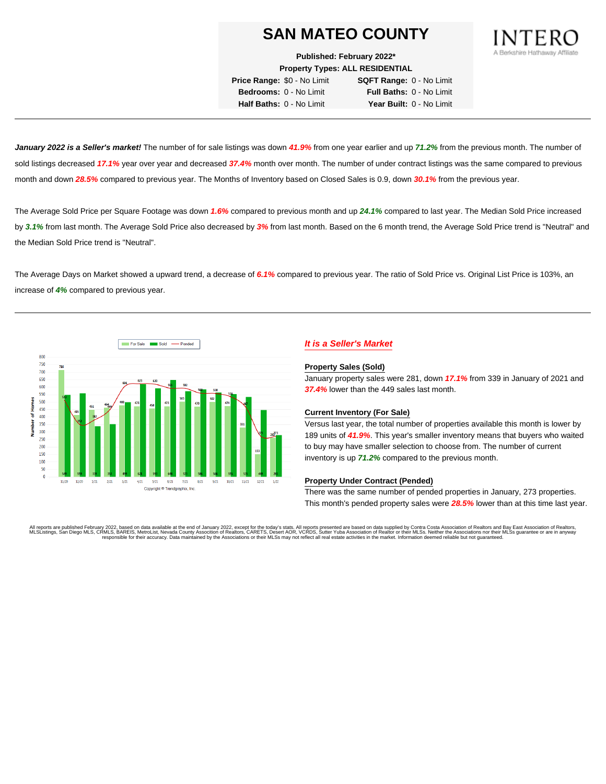

**Published: February 2022\***

**Property Types: ALL RESIDENTIAL**

**Price Range:** \$0 - No Limit **SQFT Range:** 0 - No Limit **Bedrooms:** 0 - No Limit **Full Baths:** 0 - No Limit **Half Baths:** 0 - No Limit **Year Built:** 0 - No Limit

**January 2022 is a Seller's market!** The number of for sale listings was down **41.9%** from one year earlier and up **71.2%** from the previous month. The number of sold listings decreased **17.1%** year over year and decreased **37.4%** month over month. The number of under contract listings was the same compared to previous month and down **28.5%** compared to previous year. The Months of Inventory based on Closed Sales is 0.9, down **30.1%** from the previous year.

The Average Sold Price per Square Footage was down **1.6%** compared to previous month and up **24.1%** compared to last year. The Median Sold Price increased by **3.1%** from last month. The Average Sold Price also decreased by **3%** from last month. Based on the 6 month trend, the Average Sold Price trend is "Neutral" and the Median Sold Price trend is "Neutral".

The Average Days on Market showed a upward trend, a decrease of **6.1%** compared to previous year. The ratio of Sold Price vs. Original List Price is 103%, an increase of **4%** compared to previous year.



### **It is a Seller's Market**

#### **Property Sales (Sold)**

January property sales were 281, down **17.1%** from 339 in January of 2021 and **37.4%** lower than the 449 sales last month.

#### **Current Inventory (For Sale)**

Versus last year, the total number of properties available this month is lower by 189 units of **41.9%**. This year's smaller inventory means that buyers who waited to buy may have smaller selection to choose from. The number of current inventory is up **71.2%** compared to the previous month.

#### **Property Under Contract (Pended)**

There was the same number of pended properties in January, 273 properties. This month's pended property sales were **28.5%** lower than at this time last year.

All reports are published February 2022, based on data available at the end of January 2022, except for the today's stats. All reports presented are based on data supplied by Contra Costa Association of Realtors, and Date responsible for their accuracy. Data maintained by the Associations or their MLSs may not reflect all real estate activities in the market. Information deemed reliable but not guaranteed.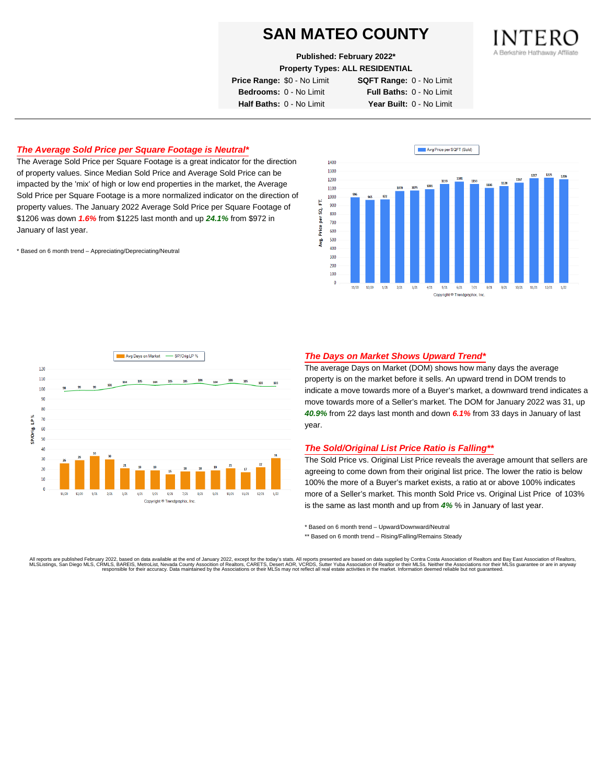**Published: February 2022\***

**Property Types: ALL RESIDENTIAL**

**Price Range:** \$0 - No Limit **SQFT Range:** 0 - No Limit

**Bedrooms:** 0 - No Limit **Full Baths:** 0 - No Limit **Half Baths:** 0 - No Limit **Year Built:** 0 - No Limit

### **The Average Sold Price per Square Footage is Neutral\***

The Average Sold Price per Square Footage is a great indicator for the direction of property values. Since Median Sold Price and Average Sold Price can be impacted by the 'mix' of high or low end properties in the market, the Average Sold Price per Square Footage is a more normalized indicator on the direction of property values. The January 2022 Average Sold Price per Square Footage of \$1206 was down **1.6%** from \$1225 last month and up **24.1%** from \$972 in January of last year.

\* Based on 6 month trend – Appreciating/Depreciating/Neutral





#### **The Days on Market Shows Upward Trend\***

The average Days on Market (DOM) shows how many days the average property is on the market before it sells. An upward trend in DOM trends to indicate a move towards more of a Buyer's market, a downward trend indicates a move towards more of a Seller's market. The DOM for January 2022 was 31, up **40.9%** from 22 days last month and down **6.1%** from 33 days in January of last year.

#### **The Sold/Original List Price Ratio is Falling\*\***

The Sold Price vs. Original List Price reveals the average amount that sellers are agreeing to come down from their original list price. The lower the ratio is below 100% the more of a Buyer's market exists, a ratio at or above 100% indicates more of a Seller's market. This month Sold Price vs. Original List Price of 103% is the same as last month and up from **4%** % in January of last year.

\* Based on 6 month trend – Upward/Downward/Neutral

\*\* Based on 6 month trend - Rising/Falling/Remains Steady

All reports are published February 2022, based on data available at the end of January 2022, except for the today's stats. All reports presented are based on data supplied by Contra Costa Association of Realtors and Bay Ea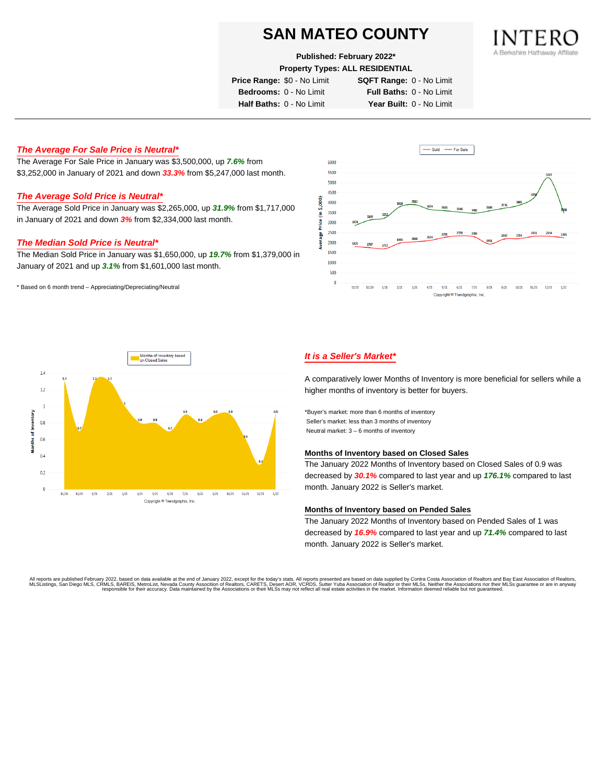#### **Published: February 2022\***

**Property Types: ALL RESIDENTIAL**

**Price Range:** \$0 - No Limit **SQFT Range:** 0 - No Limit

**Bedrooms:** 0 - No Limit **Full Baths:** 0 - No Limit **Half Baths:** 0 - No Limit **Year Built:** 0 - No Limit

### **The Average For Sale Price is Neutral\***

The Average For Sale Price in January was \$3,500,000, up **7.6%** from \$3,252,000 in January of 2021 and down **33.3%** from \$5,247,000 last month.

#### **The Average Sold Price is Neutral\***

The Average Sold Price in January was \$2,265,000, up **31.9%** from \$1,717,000 in January of 2021 and down **3%** from \$2,334,000 last month.

#### **The Median Sold Price is Neutral\***

The Median Sold Price in January was \$1,650,000, up **19.7%** from \$1,379,000 in January of 2021 and up **3.1%** from \$1,601,000 last month.

\* Based on 6 month trend – Appreciating/Depreciating/Neutral





### **It is a Seller's Market\***

A comparatively lower Months of Inventory is more beneficial for sellers while a higher months of inventory is better for buyers.

\*Buyer's market: more than 6 months of inventory Seller's market: less than 3 months of inventory Neutral market: 3 – 6 months of inventory

#### **Months of Inventory based on Closed Sales**

The January 2022 Months of Inventory based on Closed Sales of 0.9 was decreased by **30.1%** compared to last year and up **176.1%** compared to last month. January 2022 is Seller's market.

#### **Months of Inventory based on Pended Sales**

The January 2022 Months of Inventory based on Pended Sales of 1 was decreased by **16.9%** compared to last year and up **71.4%** compared to last month. January 2022 is Seller's market.

All reports are published February 2022, based on data available at the end of January 2022, except for the today's stats. All reports presented are based on data supplied by Contra Costa Association of Realtors, and beat responsible for their accuracy. Data maintained by the Associations or their MLSs may not reflect all real estate activities in the market. Information deemed reliable but not quaranteed